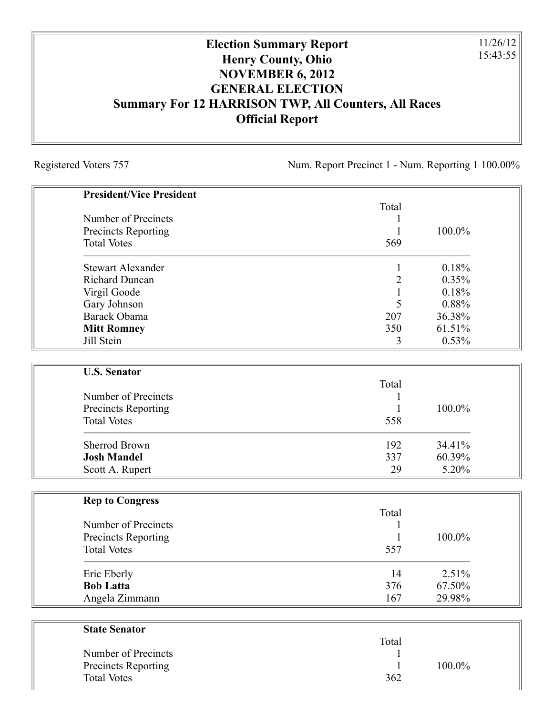## **Election Summary Report Henry County, Ohio NOVEMBER 6, 2012 GENERAL ELECTION Summary For 12 HARRISON TWP, All Counters, All Races Official Report**

Registered Voters 757 Num. Report Precinct 1 - Num. Reporting 1 100.00%

11/26/12 15:43:55

| <b>President/Vice President</b> |                |        |
|---------------------------------|----------------|--------|
|                                 | Total          |        |
| Number of Precincts             |                |        |
| Precincts Reporting             |                | 100.0% |
| <b>Total Votes</b>              | 569            |        |
| <b>Stewart Alexander</b>        | $\mathbf 1$    | 0.18%  |
| <b>Richard Duncan</b>           | $\overline{c}$ | 0.35%  |
| Virgil Goode                    | $\mathbf{1}$   | 0.18%  |
| Gary Johnson                    | 5              | 0.88%  |
| Barack Obama                    | 207            | 36.38% |
| <b>Mitt Romney</b>              | 350            | 61.51% |
| Jill Stein                      | 3              | 0.53%  |
| <b>U.S. Senator</b>             |                |        |
|                                 | Total          |        |
| Number of Precincts             |                |        |
| Precincts Reporting             | 1              | 100.0% |
| <b>Total Votes</b>              | 558            |        |
| <b>Sherrod Brown</b>            | 192            | 34.41% |
| <b>Josh Mandel</b>              | 337            | 60.39% |
| Scott A. Rupert                 | 29             | 5.20%  |
| <b>Rep to Congress</b>          |                |        |
|                                 | Total          |        |
| Number of Precincts             |                |        |
| <b>Precincts Reporting</b>      | 1              | 100.0% |
| <b>Total Votes</b>              | 557            |        |
| Eric Eberly                     | 14             | 2.51%  |
| <b>Bob Latta</b>                | 376            | 67.50% |
| Angela Zimmann                  | 167            | 29.98% |
|                                 |                |        |
| <b>State Senator</b>            | Total          |        |
| Number of Precincts             |                |        |

| Number of Precincts        |     |           |
|----------------------------|-----|-----------|
| <b>Precincts Reporting</b> |     | $100.0\%$ |
| <b>Total Votes</b>         | 362 |           |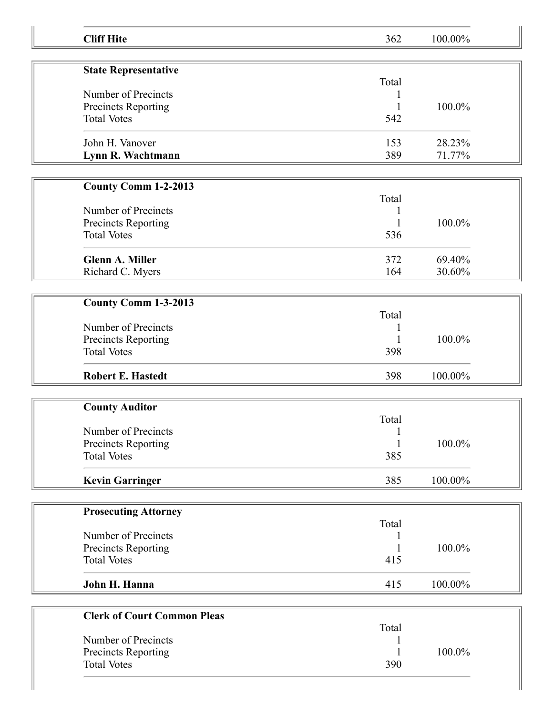| <b>Cliff Hite</b>                  | 362        | 100.00% |
|------------------------------------|------------|---------|
| <b>State Representative</b>        |            |         |
|                                    | Total      |         |
| Number of Precincts                |            |         |
| Precincts Reporting                |            | 100.0%  |
| <b>Total Votes</b>                 | 542        |         |
|                                    |            |         |
| John H. Vanover                    | 153        | 28.23%  |
| Lynn R. Wachtmann                  | 389        | 71.77%  |
|                                    |            |         |
| <b>County Comm 1-2-2013</b>        |            |         |
|                                    | Total      |         |
| Number of Precincts                |            |         |
| Precincts Reporting                |            | 100.0%  |
| <b>Total Votes</b>                 | 536        |         |
|                                    |            |         |
| <b>Glenn A. Miller</b>             | 372        | 69.40%  |
| Richard C. Myers                   | 164        | 30.60%  |
|                                    |            |         |
| County Comm 1-3-2013               |            |         |
|                                    | Total      |         |
| Number of Precincts                |            |         |
| Precincts Reporting                |            | 100.0%  |
| <b>Total Votes</b>                 | 398        |         |
| <b>Robert E. Hastedt</b>           | 398        | 100.00% |
|                                    |            |         |
| <b>County Auditor</b>              |            |         |
|                                    | Total      |         |
| Number of Precincts                | 1          |         |
| Precincts Reporting                |            | 100.0%  |
| <b>Total Votes</b>                 | 385        |         |
| <b>Kevin Garringer</b>             | 385        | 100.00% |
|                                    |            |         |
| <b>Prosecuting Attorney</b>        |            |         |
| Number of Precincts                | Total<br>1 |         |
| Precincts Reporting                |            | 100.0%  |
| <b>Total Votes</b>                 | 415        |         |
|                                    |            |         |
| John H. Hanna                      | 415        | 100.00% |
| <b>Clerk of Court Common Pleas</b> |            |         |
|                                    | Total      |         |
| Number of Precincts                |            |         |
| Precincts Reporting                |            | 100.0%  |
| <b>Total Votes</b>                 | 390        |         |
|                                    |            |         |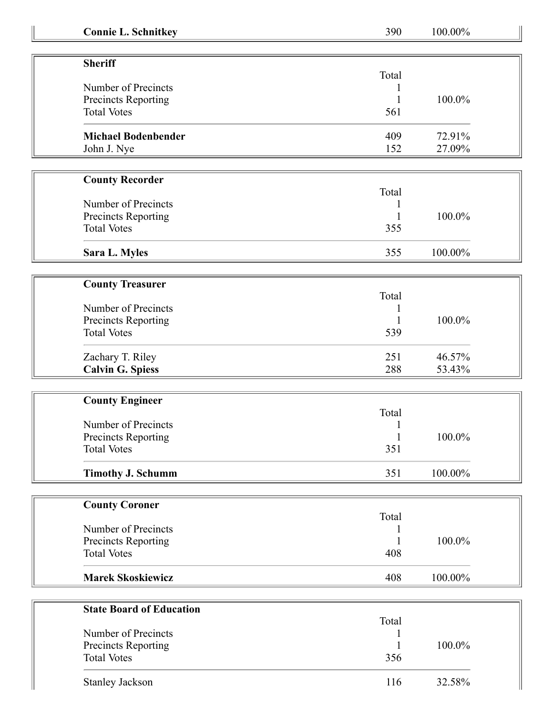| <b>Connie L. Schnitkey</b>      | 390   | 100.00%   |
|---------------------------------|-------|-----------|
|                                 |       |           |
| <b>Sheriff</b>                  |       |           |
|                                 | Total |           |
| Number of Precincts             |       |           |
| <b>Precincts Reporting</b>      |       | 100.0%    |
| <b>Total Votes</b>              | 561   |           |
| <b>Michael Bodenbender</b>      | 409   | 72.91%    |
| John J. Nye                     | 152   | 27.09%    |
|                                 |       |           |
| <b>County Recorder</b>          |       |           |
|                                 | Total |           |
| Number of Precincts             |       |           |
| Precincts Reporting             |       | 100.0%    |
| <b>Total Votes</b>              | 355   |           |
| Sara L. Myles                   | 355   | 100.00%   |
|                                 |       |           |
| <b>County Treasurer</b>         |       |           |
|                                 | Total |           |
| Number of Precincts             |       |           |
| Precincts Reporting             |       | 100.0%    |
| <b>Total Votes</b>              | 539   |           |
| Zachary T. Riley                | 251   | 46.57%    |
| <b>Calvin G. Spiess</b>         | 288   | 53.43%    |
|                                 |       |           |
| <b>County Engineer</b>          |       |           |
|                                 | Total |           |
| Number of Precincts             |       |           |
| <b>Precincts Reporting</b>      | 1     | $100.0\%$ |
| <b>Total Votes</b>              | 351   |           |
| <b>Timothy J. Schumm</b>        | 351   | 100.00%   |
|                                 |       |           |
| <b>County Coroner</b>           |       |           |
|                                 | Total |           |
| Number of Precincts             |       |           |
| Precincts Reporting             |       | 100.0%    |
| <b>Total Votes</b>              | 408   |           |
| <b>Marek Skoskiewicz</b>        | 408   | 100.00%   |
|                                 |       |           |
| <b>State Board of Education</b> |       |           |
|                                 | Total |           |
| Number of Precincts             |       |           |
| Precincts Reporting             |       | 100.0%    |
| <b>Total Votes</b>              | 356   |           |
|                                 |       |           |
| Stanley Jackson                 | 116   | 32.58%    |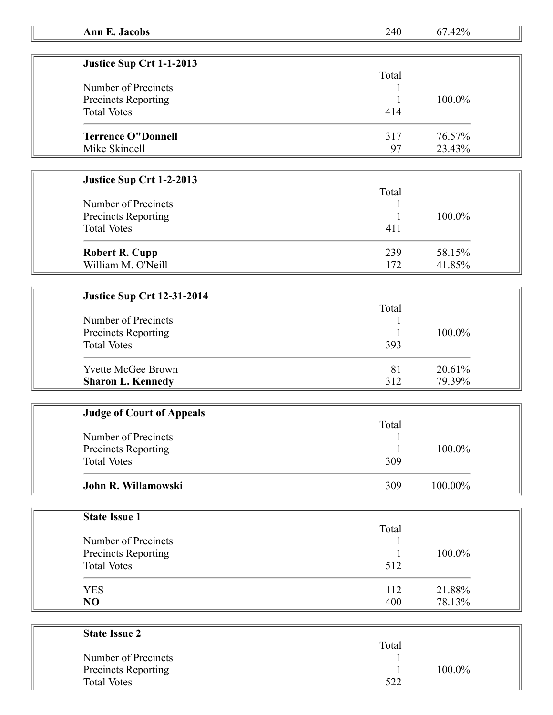| Ann E. Jacobs |  |  |  |  |
|---------------|--|--|--|--|
|---------------|--|--|--|--|

**Ann E. Jacobs** 240 67.42%

| Justice Sup Crt 1-1-2013   |       |           |
|----------------------------|-------|-----------|
|                            | Total |           |
| Number of Precincts        |       |           |
| <b>Precincts Reporting</b> |       | $100.0\%$ |
| <b>Total Votes</b>         | 414   |           |
| <b>Terrence O"Donnell</b>  | 317   | 76.57%    |
| Mike Skindell              | 97    | 23.43%    |

## **Justice Sup Crt 1-2-2013**

| Number of Precincts<br>Precincts Reporting<br><b>Total Votes</b> | Total<br>411 | 100.0% |
|------------------------------------------------------------------|--------------|--------|
| <b>Robert R. Cupp</b>                                            | 239          | 58.15% |
| William M. O'Neill                                               | 172          | 41.85% |

## **Justice Sup Crt 12-31-2014**

|                            | Total |           |
|----------------------------|-------|-----------|
| Number of Precincts        |       |           |
| <b>Precincts Reporting</b> |       | $100.0\%$ |
| <b>Total Votes</b>         | 393   |           |
| <b>Yvette McGee Brown</b>  | 81    | 20.61%    |
| <b>Sharon L. Kennedy</b>   | 312   | 79.39%    |

| <b>Judge of Court of Appeals</b> |       |            |
|----------------------------------|-------|------------|
|                                  | Total |            |
| Number of Precincts              |       |            |
| Precincts Reporting              |       | 100.0%     |
| <b>Total Votes</b>               | 309   |            |
| John R. Willamowski              | 309   | $100.00\%$ |

| <b>State Issue 1</b> |       |        |
|----------------------|-------|--------|
|                      | Total |        |
| Number of Precincts  |       |        |
| Precincts Reporting  |       | 100.0% |
| <b>Total Votes</b>   | 512   |        |
| <b>YES</b>           | 112   | 21.88% |
| NO                   | 400   | 78.13% |

| <b>State Issue 2</b>       |       |        |
|----------------------------|-------|--------|
|                            | Total |        |
| Number of Precincts        |       |        |
| <b>Precincts Reporting</b> |       | 100.0% |
| <b>Total Votes</b>         | 522   |        |